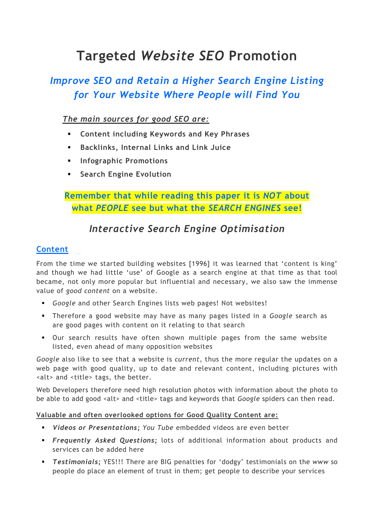# Targeted Website SEO Promotion

## Improve SEO and Retain a Higher Search Engine Listing for Your Website Where People will Find You

## The main sources for good SEO are:

- Content including Keywords and Key Phrases
- Backlinks, Internal Links and Link Juice
- **Infographic Promotions**
- Search Engine Evolution

## Remember that while reading this paper it is NOT about what PEOPLE see but what the SEARCH ENGINES see!

## Interactive Search Engine Optimisation

## Content

From the time we started building websites [1996] it was learned that 'content is king' and though we had little 'use' of Google as a search engine at that time as that tool became, not only more popular but influential and necessary, we also saw the immense value of good content on a website.

- Google and other Search Engines lists web pages! Not websites!
- Therefore a good website may have as many pages listed in a Google search as are good pages with content on it relating to that search
- Our search results have often shown multiple pages from the same website listed, even ahead of many opposition websites

Google also like to see that a website is current, thus the more regular the updates on a web page with good quality, up to date and relevant content, including pictures with <alt> and <title> tags, the better.

Web Developers therefore need high resolution photos with information about the photo to be able to add good <alt> and <title> tags and keywords that Google spiders can then read.

#### Valuable and often overlooked options for Good Quality Content are:

- **Videos or Presentations; You Tube embedded videos are even better**
- **Frequently Asked Questions**; lots of additional information about products and services can be added here
- **Testimonials;** YES!!! There are BIG penalties for 'dodgy' testimonials on the www so people do place an element of trust in them; get people to describe your services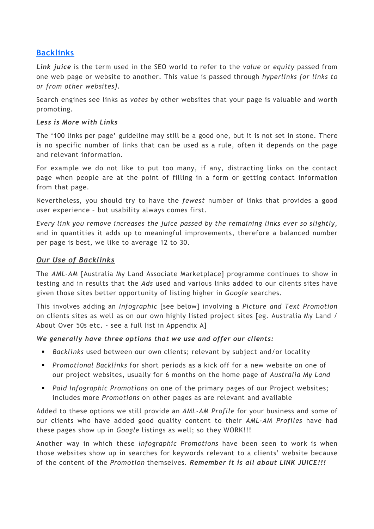#### Backlinks

Link juice is the term used in the SEO world to refer to the value or equity passed from one web page or website to another. This value is passed through hyperlinks [or links to or from other websites].

Search engines see links as votes by other websites that your page is valuable and worth promoting.

#### Less is More with Links

The '100 links per page' guideline may still be a good one, but it is not set in stone. There is no specific number of links that can be used as a rule, often it depends on the page and relevant information.

For example we do not like to put too many, if any, distracting links on the contact page when people are at the point of filling in a form or getting contact information from that page.

Nevertheless, you should try to have the fewest number of links that provides a good user experience – but usability always comes first.

Every link you remove increases the juice passed by the remaining links ever so slightly, and in quantities it adds up to meaningful improvements, therefore a balanced number per page is best, we like to average 12 to 30.

#### Our Use of Backlinks

The AML-AM [Australia My Land Associate Marketplace] programme continues to show in testing and in results that the Ads used and various links added to our clients sites have given those sites better opportunity of listing higher in Google searches.

This involves adding an Infographic [see below] involving a Picture and Text Promotion on clients sites as well as on our own highly listed project sites [eg. Australia My Land / About Over 50s etc. - see a full list in Appendix A]

We generally have three options that we use and offer our clients:

- **Backlinks used between our own clients; relevant by subject and/or locality**
- **Promotional Backlinks for short periods as a kick off for a new website on one of** our project websites, usually for 6 months on the home page of Australia My Land
- Paid Infographic Promotions on one of the primary pages of our Project websites; includes more Promotions on other pages as are relevant and available

Added to these options we still provide an AML-AM Profile for your business and some of our clients who have added good quality content to their AML-AM Profiles have had these pages show up in Google listings as well; so they WORK!!!

Another way in which these Infographic Promotions have been seen to work is when those websites show up in searches for keywords relevant to a clients' website because of the content of the Promotion themselves. Remember it is all about LINK JUICE!!!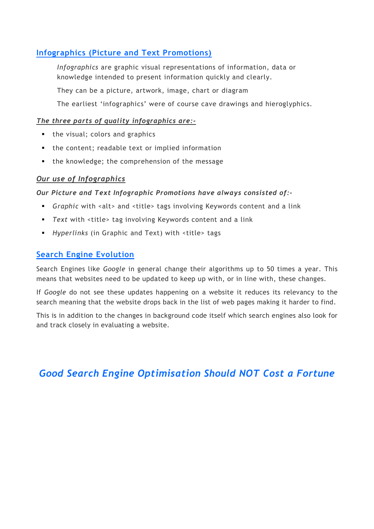#### Infographics (Picture and Text Promotions)

Infographics are graphic visual representations of information, data or knowledge intended to present information quickly and clearly.

They can be a picture, artwork, image, chart or diagram

The earliest 'infographics' were of course cave drawings and hieroglyphics.

#### The three parts of quality infographics are:-

- the visual; colors and graphics
- the content; readable text or implied information
- the knowledge; the comprehension of the message

#### Our use of Infographics

#### Our Picture and Text Infographic Promotions have always consisted of:-

- Graphic with <alt> and <title> tags involving Keywords content and a link
- Text with <title> tag involving Keywords content and a link
- Hyperlinks (in Graphic and Text) with <title> tags

#### Search Engine Evolution

Search Engines like Google in general change their algorithms up to 50 times a year. This means that websites need to be updated to keep up with, or in line with, these changes.

If Google do not see these updates happening on a website it reduces its relevancy to the search meaning that the website drops back in the list of web pages making it harder to find.

This is in addition to the changes in background code itself which search engines also look for and track closely in evaluating a website.

Good Search Engine Optimisation Should NOT Cost a Fortune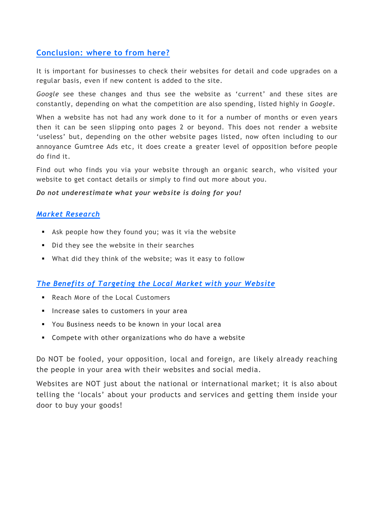#### Conclusion: where to from here?

It is important for businesses to check their websites for detail and code upgrades on a regular basis, even if new content is added to the site.

Google see these changes and thus see the website as 'current' and these sites are constantly, depending on what the competition are also spending, listed highly in Google.

When a website has not had any work done to it for a number of months or even years then it can be seen slipping onto pages 2 or beyond. This does not render a website 'useless' but, depending on the other website pages listed, now often including to our annoyance Gumtree Ads etc, it does create a greater level of opposition before people do find it.

Find out who finds you via your website through an organic search, who visited your website to get contact details or simply to find out more about you.

#### Do not underestimate what your website is doing for you!

#### Market Research

- Ask people how they found you; was it via the website
- Did they see the website in their searches
- What did they think of the website; was it easy to follow

#### The Benefits of Targeting the Local Market with your Website

- Reach More of the Local Customers
- **Increase sales to customers in your area**
- You Business needs to be known in your local area
- Compete with other organizations who do have a website

Do NOT be fooled, your opposition, local and foreign, are likely already reaching the people in your area with their websites and social media.

Websites are NOT just about the national or international market; it is also about telling the 'locals' about your products and services and getting them inside your door to buy your goods!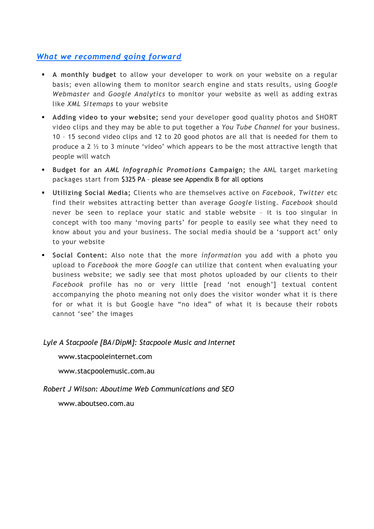### What we recommend going forward

- A monthly budget to allow your developer to work on your website on a regular basis; even allowing them to monitor search engine and stats results, using Google Webmaster and Google Analytics to monitor your website as well as adding extras like XML Sitemaps to your website
- Adding video to your website; send your developer good quality photos and SHORT video clips and they may be able to put together a You Tube Channel for your business. 10 – 15 second video clips and 12 to 20 good photos are all that is needed for them to produce a 2  $\frac{1}{2}$  to 3 minute 'video' which appears to be the most attractive length that people will watch
- **Budget for an AML Infographic Promotions Campaign; the AML target marketing** packages start from \$325 PA – please see Appendix B for all options
- **Utilizing Social Media;** Clients who are themselves active on Facebook, Twitter etc find their websites attracting better than average Google listing. Facebook should never be seen to replace your static and stable website – it is too singular in concept with too many 'moving parts' for people to easily see what they need to know about you and your business. The social media should be a 'support act' only to your website
- **Social Content:** Also note that the more *information* you add with a photo you upload to Facebook the more Google can utilize that content when evaluating your business website; we sadly see that most photos uploaded by our clients to their Facebook profile has no or very little [read 'not enough'] textual content accompanying the photo meaning not only does the visitor wonder what it is there for or what it is but Google have "no idea" of what it is because their robots cannot 'see' the images

#### Lyle A Stacpoole [BA/DipM]: Stacpoole Music and Internet

www.stacpooleinternet.com

www.stacpoolemusic.com.au

Robert J Wilson: Aboutime Web Communications and SEO

www.aboutseo.com.au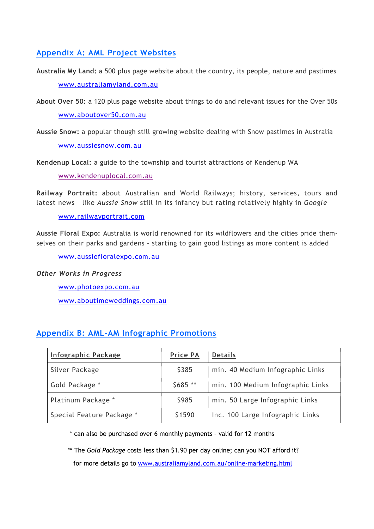#### Appendix A: AML Project Websites

- Australia My Land: a 500 plus page website about the country, its people, nature and pastimes www.australiamyland.com.au
- About Over 50: a 120 plus page website about things to do and relevant issues for the Over 50s www.aboutover50.com.au
- Aussie Snow: a popular though still growing website dealing with Snow pastimes in Australia www.aussiesnow.com.au

Kendenup Local: a guide to the township and tourist attractions of Kendenup WA

www.kendenuplocal.com.au

Railway Portrait: about Australian and World Railways; history, services, tours and latest news - like Aussie Snow still in its infancy but rating relatively highly in Google

www.railwayportrait.com

Aussie Floral Expo: Australia is world renowned for its wildflowers and the cities pride themselves on their parks and gardens – starting to gain good listings as more content is added

www.aussiefloralexpo.com.au

#### Other Works in Progress

www.photoexpo.com.au www.aboutimeweddings.com.au

## Appendix B: AML-AM Infographic Promotions

| Infographic Package       | <b>Price PA</b> | <b>Details</b>                    |
|---------------------------|-----------------|-----------------------------------|
| Silver Package            | \$385           | min. 40 Medium Infographic Links  |
| Gold Package *            | $$685$ **       | min. 100 Medium Infographic Links |
| Platinum Package *        | \$985           | min. 50 Large Infographic Links   |
| Special Feature Package * | \$1590          | Inc. 100 Large Infographic Links  |

\* can also be purchased over 6 monthly payments – valid for 12 months

\*\* The Gold Package costs less than \$1.90 per day online; can you NOT afford it? for more details go to www.australiamyland.com.au/online-marketing.html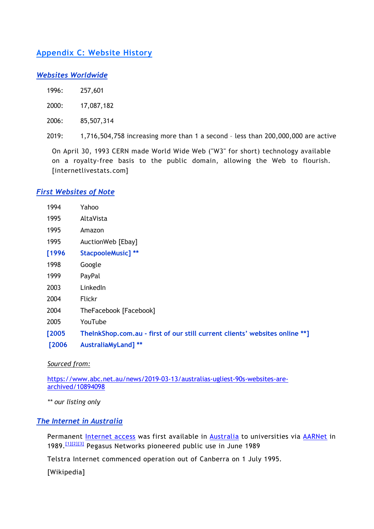### Appendix C: Website History

#### Websites Worldwide

| 1996: | 257,601 |
|-------|---------|
|       |         |

2000: 17,087,182

2006: 85,507,314

2019: 1,716,504,758 increasing more than 1 a second – less than 200,000,000 are active

On April 30, 1993 CERN made World Wide Web ("W3" for short) technology available on a royalty-free basis to the public domain, allowing the Web to flourish. [internetlivestats.com]

#### First Websites of Note

| 1994   | Yahoo                                                                       |
|--------|-----------------------------------------------------------------------------|
| 1995   | AltaVista                                                                   |
| 1995   | Amazon                                                                      |
| 1995   | AuctionWeb [Ebay]                                                           |
| [1996] | <b>StacpooleMusic]</b> **                                                   |
| 1998   | Google                                                                      |
| 1999   | PayPal                                                                      |
| 2003   | LinkedIn                                                                    |
| 2004   | <b>Flickr</b>                                                               |
| 2004   | TheFacebook [Facebook]                                                      |
| 2005   | YouTube                                                                     |
| [2005] | TheInkShop.com.au - first of our still current clients' websites online **] |
| [2006] | <b>AustraliaMyLand]</b> **                                                  |
|        |                                                                             |

Sourced from:

https://www.abc.net.au/news/2019-03-13/australias-ugliest-90s-websites-arearchived/10894098

\*\* our listing only

#### The Internet in Australia

Permanent Internet access was first available in Australia to universities via AARNet in 1989.[1][2][3] Pegasus Networks pioneered public use in June 1989

Telstra Internet commenced operation out of Canberra on 1 July 1995.

[Wikipedia]